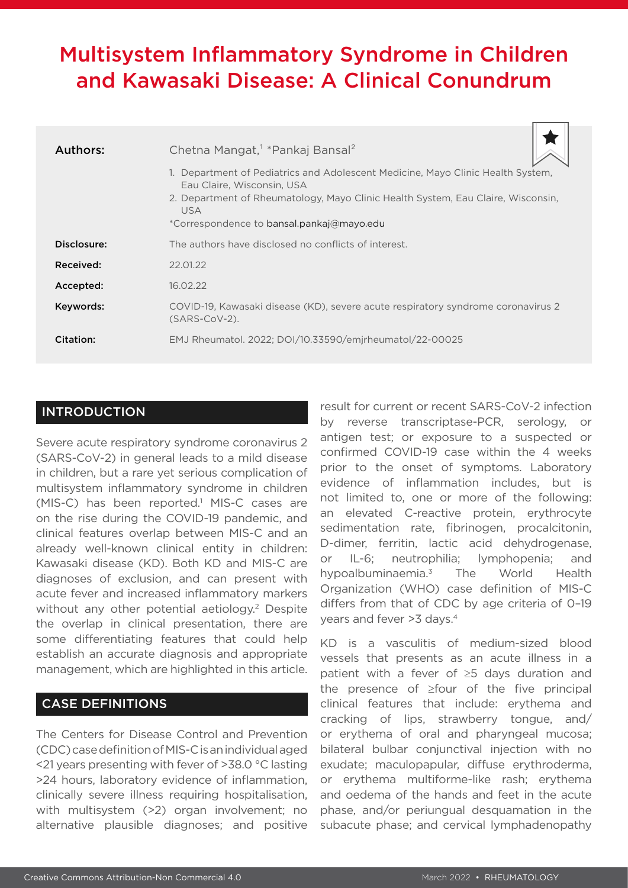# Multisystem Inflammatory Syndrome in Children and Kawasaki Disease: A Clinical Conundrum

| Authors:    | Chetna Mangat, <sup>1</sup> *Pankaj Bansal <sup>2</sup>                                                                                                                                                                                                      |
|-------------|--------------------------------------------------------------------------------------------------------------------------------------------------------------------------------------------------------------------------------------------------------------|
|             | 1. Department of Pediatrics and Adolescent Medicine, Mayo Clinic Health System,<br>Eau Claire, Wisconsin, USA<br>2. Department of Rheumatology, Mayo Clinic Health System, Eau Claire, Wisconsin,<br><b>USA</b><br>*Correspondence to bansal.pankaj@mayo.edu |
| Disclosure: | The authors have disclosed no conflicts of interest.                                                                                                                                                                                                         |
| Received:   | 22.01.22                                                                                                                                                                                                                                                     |
| Accepted:   | 16.02.22                                                                                                                                                                                                                                                     |
| Keywords:   | COVID-19, Kawasaki disease (KD), severe acute respiratory syndrome coronavirus 2<br>$(SARS-CoV-2)$ .                                                                                                                                                         |
| Citation:   | EMJ Rheumatol. 2022; DOI/10.33590/emjrheumatol/22-00025                                                                                                                                                                                                      |

### **INTRODUCTION**

Severe acute respiratory syndrome coronavirus 2 (SARS-CoV-2) in general leads to a mild disease in children, but a rare yet serious complication of multisystem inflammatory syndrome in children (MIS-C) has been reported.<sup>1</sup> MIS-C cases are on the rise during the COVID-19 pandemic, and clinical features overlap between MIS-C and an already well-known clinical entity in children: Kawasaki disease (KD). Both KD and MIS-C are diagnoses of exclusion, and can present with acute fever and increased inflammatory markers without any other potential aetiology.<sup>2</sup> Despite the overlap in clinical presentation, there are some differentiating features that could help establish an accurate diagnosis and appropriate management, which are highlighted in this article.

## CASE DEFINITIONS

The Centers for Disease Control and Prevention (CDC) case definition of MIS-C is an individual aged <21 years presenting with fever of >38.0 °C lasting >24 hours, laboratory evidence of inflammation, clinically severe illness requiring hospitalisation, with multisystem (>2) organ involvement; no alternative plausible diagnoses; and positive

result for current or recent SARS-CoV-2 infection by reverse transcriptase-PCR, serology, or antigen test; or exposure to a suspected or confirmed COVID-19 case within the 4 weeks prior to the onset of symptoms. Laboratory evidence of inflammation includes, but is not limited to, one or more of the following: an elevated C-reactive protein, erythrocyte sedimentation rate, fibrinogen, procalcitonin, D-dimer, ferritin, lactic acid dehydrogenase, or IL-6; neutrophilia; lymphopenia; and hypoalbuminaemia.3 The World Health Organization (WHO) case definition of MIS-C differs from that of CDC by age criteria of 0–19 years and fever >3 days.4

KD is a vasculitis of medium-sized blood vessels that presents as an acute illness in a patient with a fever of ≥5 days duration and the presence of ≥four of the five principal clinical features that include: erythema and cracking of lips, strawberry tongue, and/ or erythema of oral and pharyngeal mucosa; bilateral bulbar conjunctival injection with no exudate; maculopapular, diffuse erythroderma, or erythema multiforme-like rash; erythema and oedema of the hands and feet in the acute phase, and/or periungual desquamation in the subacute phase; and cervical lymphadenopathy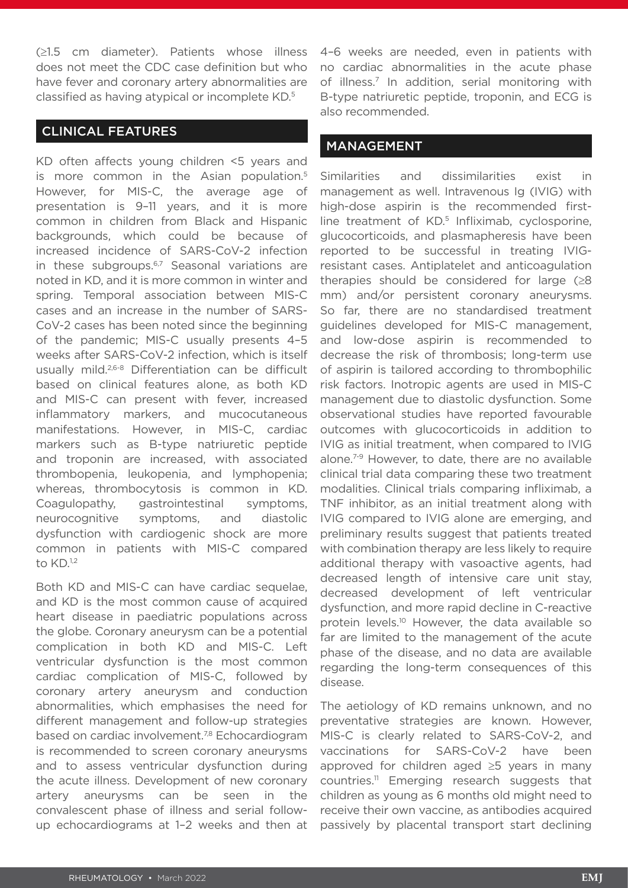(≥1.5 cm diameter). Patients whose illness does not meet the CDC case definition but who have fever and coronary artery abnormalities are classified as having atypical or incomplete KD.5

#### CLINICAL FEATURES

KD often affects young children <5 years and is more common in the Asian population.<sup>5</sup> However, for MIS-C, the average age of presentation is 9–11 years, and it is more common in children from Black and Hispanic backgrounds, which could be because of increased incidence of SARS-CoV-2 infection in these subgroups.<sup>6,7</sup> Seasonal variations are noted in KD, and it is more common in winter and spring. Temporal association between MIS-C cases and an increase in the number of SARS-CoV-2 cases has been noted since the beginning of the pandemic; MIS-C usually presents 4–5 weeks after SARS-CoV-2 infection, which is itself usually mild.<sup>2,6-8</sup> Differentiation can be difficult based on clinical features alone, as both KD and MIS-C can present with fever, increased inflammatory markers, and mucocutaneous manifestations. However, in MIS-C, cardiac markers such as B-type natriuretic peptide and troponin are increased, with associated thrombopenia, leukopenia, and lymphopenia; whereas, thrombocytosis is common in KD. Coagulopathy, gastrointestinal symptoms, neurocognitive symptoms, and diastolic dysfunction with cardiogenic shock are more common in patients with MIS-C compared to KD.<sup>1,2</sup>

Both KD and MIS-C can have cardiac sequelae, and KD is the most common cause of acquired heart disease in paediatric populations across the globe. Coronary aneurysm can be a potential complication in both KD and MIS-C. Left ventricular dysfunction is the most common cardiac complication of MIS-C, followed by coronary artery aneurysm and conduction abnormalities, which emphasises the need for different management and follow-up strategies based on cardiac involvement.<sup>7,8</sup> Echocardiogram is recommended to screen coronary aneurysms and to assess ventricular dysfunction during the acute illness. Development of new coronary artery aneurysms can be seen in the convalescent phase of illness and serial followup echocardiograms at 1–2 weeks and then at

4–6 weeks are needed, even in patients with no cardiac abnormalities in the acute phase of illness.<sup>7</sup> In addition, serial monitoring with B-type natriuretic peptide, troponin, and ECG is also recommended.

#### MANAGEMENT

Similarities and dissimilarities exist in management as well. Intravenous Ig (IVIG) with high-dose aspirin is the recommended firstline treatment of KD.<sup>5</sup> Infliximab, cyclosporine, glucocorticoids, and plasmapheresis have been reported to be successful in treating IVIGresistant cases. Antiplatelet and anticoagulation therapies should be considered for large  $(≥8)$ mm) and/or persistent coronary aneurysms. So far, there are no standardised treatment guidelines developed for MIS-C management, and low-dose aspirin is recommended to decrease the risk of thrombosis; long-term use of aspirin is tailored according to thrombophilic risk factors. Inotropic agents are used in MIS-C management due to diastolic dysfunction. Some observational studies have reported favourable outcomes with glucocorticoids in addition to IVIG as initial treatment, when compared to IVIG alone.7-9 However, to date, there are no available clinical trial data comparing these two treatment modalities. Clinical trials comparing infliximab, a TNF inhibitor, as an initial treatment along with IVIG compared to IVIG alone are emerging, and preliminary results suggest that patients treated with combination therapy are less likely to require additional therapy with vasoactive agents, had decreased length of intensive care unit stay, decreased development of left ventricular dysfunction, and more rapid decline in C-reactive protein levels.10 However, the data available so far are limited to the management of the acute phase of the disease, and no data are available regarding the long-term consequences of this disease.

The aetiology of KD remains unknown, and no preventative strategies are known. However, MIS-C is clearly related to SARS-CoV-2, and vaccinations for SARS-CoV-2 have been approved for children aged ≥5 years in many countries.11 Emerging research suggests that children as young as 6 months old might need to receive their own vaccine, as antibodies acquired passively by placental transport start declining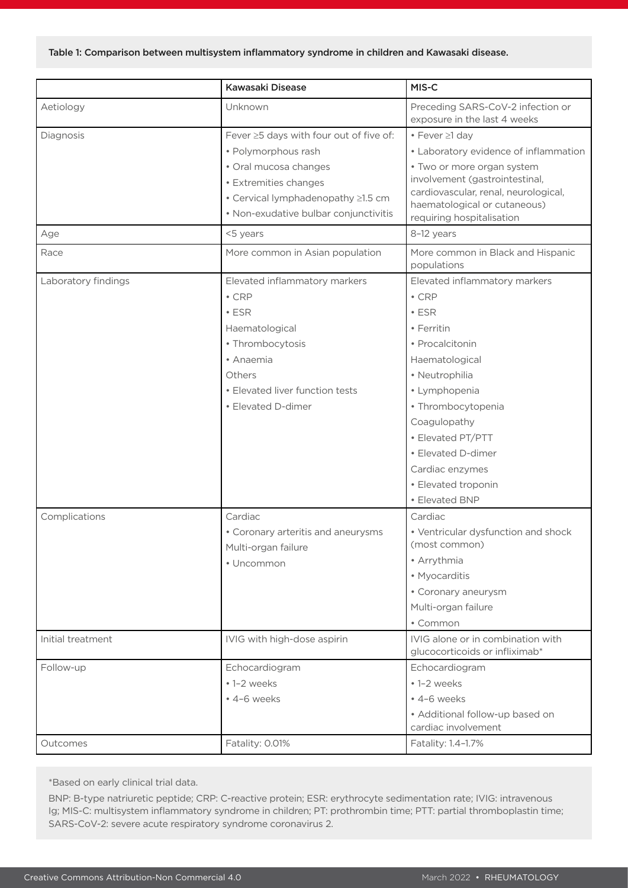|                     | Kawasaki Disease                                                                                                              | MIS-C                                                                                                                                                             |
|---------------------|-------------------------------------------------------------------------------------------------------------------------------|-------------------------------------------------------------------------------------------------------------------------------------------------------------------|
| Aetiology           | Unknown                                                                                                                       | Preceding SARS-CoV-2 infection or<br>exposure in the last 4 weeks                                                                                                 |
| Diagnosis           | Fever ≥5 days with four out of five of:                                                                                       | • Fever ≥1 day                                                                                                                                                    |
|                     | • Polymorphous rash                                                                                                           | • Laboratory evidence of inflammation                                                                                                                             |
|                     | · Oral mucosa changes<br>• Extremities changes<br>• Cervical lymphadenopathy ≥1.5 cm<br>• Non-exudative bulbar conjunctivitis | • Two or more organ system<br>involvement (gastrointestinal,<br>cardiovascular, renal, neurological,<br>haematological or cutaneous)<br>requiring hospitalisation |
| Age                 | <5 years                                                                                                                      | 8-12 years                                                                                                                                                        |
| Race                | More common in Asian population                                                                                               | More common in Black and Hispanic<br>populations                                                                                                                  |
| Laboratory findings | Elevated inflammatory markers                                                                                                 | Elevated inflammatory markers                                                                                                                                     |
|                     | $\cdot$ CRP                                                                                                                   | $\cdot$ CRP                                                                                                                                                       |
|                     | $\cdot$ ESR                                                                                                                   | $\cdot$ ESR                                                                                                                                                       |
|                     | Haematological                                                                                                                | • Ferritin                                                                                                                                                        |
|                     | • Thrombocytosis                                                                                                              | • Procalcitonin                                                                                                                                                   |
|                     | • Anaemia                                                                                                                     | Haematological                                                                                                                                                    |
|                     | Others                                                                                                                        | · Neutrophilia                                                                                                                                                    |
|                     | • Elevated liver function tests                                                                                               | • Lymphopenia                                                                                                                                                     |
|                     | • Elevated D-dimer                                                                                                            | · Thrombocytopenia                                                                                                                                                |
|                     |                                                                                                                               | Coagulopathy                                                                                                                                                      |
|                     |                                                                                                                               | • Elevated PT/PTT                                                                                                                                                 |
|                     |                                                                                                                               | • Elevated D-dimer                                                                                                                                                |
|                     |                                                                                                                               | Cardiac enzymes                                                                                                                                                   |
|                     |                                                                                                                               | • Elevated troponin                                                                                                                                               |
|                     |                                                                                                                               | • Elevated BNP                                                                                                                                                    |
| Complications       | Cardiac                                                                                                                       | Cardiac                                                                                                                                                           |
|                     | • Coronary arteritis and aneurysms<br>Multi-organ failure                                                                     | • Ventricular dysfunction and shock<br>(most common)                                                                                                              |
|                     | • Uncommon                                                                                                                    | • Arrythmia                                                                                                                                                       |
|                     |                                                                                                                               | • Myocarditis                                                                                                                                                     |
|                     |                                                                                                                               | • Coronary aneurysm                                                                                                                                               |
|                     |                                                                                                                               | Multi-organ failure                                                                                                                                               |
|                     |                                                                                                                               | • Common                                                                                                                                                          |
| Initial treatment   | IVIG with high-dose aspirin                                                                                                   | IVIG alone or in combination with<br>glucocorticoids or infliximab*                                                                                               |
| Follow-up           | Echocardiogram                                                                                                                | Echocardiogram                                                                                                                                                    |
|                     | • 1-2 weeks                                                                                                                   | • 1-2 weeks                                                                                                                                                       |
|                     | • 4-6 weeks                                                                                                                   | • 4-6 weeks                                                                                                                                                       |
|                     |                                                                                                                               | • Additional follow-up based on<br>cardiac involvement                                                                                                            |
| Outcomes            | Fatality: 0.01%                                                                                                               | Fatality: 1.4-1.7%                                                                                                                                                |

\*Based on early clinical trial data.

BNP: B-type natriuretic peptide; CRP: C-reactive protein; ESR: erythrocyte sedimentation rate; IVIG: intravenous Ig; MIS-C: multisystem inflammatory syndrome in children; PT: prothrombin time; PTT: partial thromboplastin time; SARS-CoV-2: severe acute respiratory syndrome coronavirus 2.